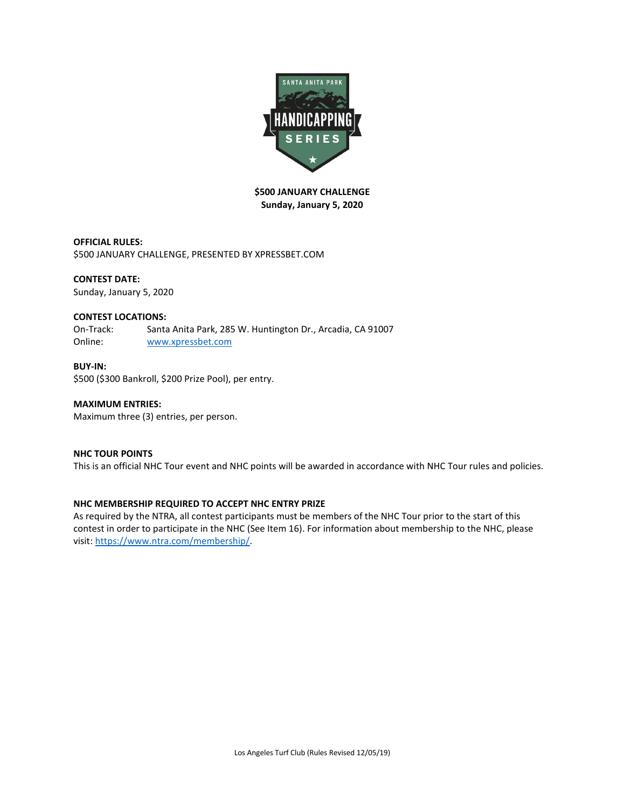

# **\$500 JANUARY CHALLENGE Sunday, January 5, 2020**

**OFFICIAL RULES:**  \$500 JANUARY CHALLENGE, PRESENTED BY XPRESSBET.COM

# **CONTEST DATE:**

Sunday, January 5, 2020

## **CONTEST LOCATIONS:**

On-Track: Santa Anita Park, 285 W. Huntington Dr., Arcadia, CA 91007 Online: [www.xpressbet.com](http://www.xpressbet.com/)

## **BUY-IN:**

\$500 (\$300 Bankroll, \$200 Prize Pool), per entry.

# **MAXIMUM ENTRIES:**

Maximum three (3) entries, per person.

# **NHC TOUR POINTS**

This is an official NHC Tour event and NHC points will be awarded in accordance with NHC Tour rules and policies.

# **NHC MEMBERSHIP REQUIRED TO ACCEPT NHC ENTRY PRIZE**

As required by the NTRA, all contest participants must be members of the NHC Tour prior to the start of this contest in order to participate in the NHC (See Item 16). For information about membership to the NHC, please visit: [https://www.ntra.com/membership/.](https://www.ntra.com/membership/)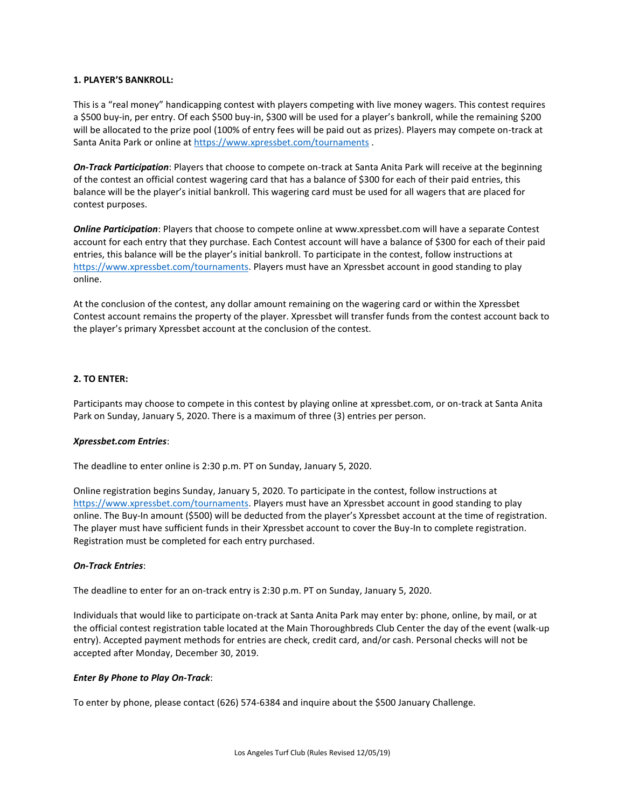### **1. PLAYER'S BANKROLL:**

This is a "real money" handicapping contest with players competing with live money wagers. This contest requires a \$500 buy-in, per entry. Of each \$500 buy-in, \$300 will be used for a player's bankroll, while the remaining \$200 will be allocated to the prize pool (100% of entry fees will be paid out as prizes). Players may compete on-track at Santa Anita Park or online at<https://www.xpressbet.com/tournaments> .

*On-Track Participation*: Players that choose to compete on-track at Santa Anita Park will receive at the beginning of the contest an official contest wagering card that has a balance of \$300 for each of their paid entries, this balance will be the player's initial bankroll. This wagering card must be used for all wagers that are placed for contest purposes.

*Online Participation*: Players that choose to compete online at www.xpressbet.com will have a separate Contest account for each entry that they purchase. Each Contest account will have a balance of \$300 for each of their paid entries, this balance will be the player's initial bankroll. To participate in the contest, follow instructions at [https://www.xpressbet.com/tournaments.](https://www.xpressbet.com/tournaments) Players must have an Xpressbet account in good standing to play online.

At the conclusion of the contest, any dollar amount remaining on the wagering card or within the Xpressbet Contest account remains the property of the player. Xpressbet will transfer funds from the contest account back to the player's primary Xpressbet account at the conclusion of the contest.

## **2. TO ENTER:**

Participants may choose to compete in this contest by playing online at xpressbet.com, or on-track at Santa Anita Park on Sunday, January 5, 2020. There is a maximum of three (3) entries per person.

#### *Xpressbet.com Entries*:

The deadline to enter online is 2:30 p.m. PT on Sunday, January 5, 2020.

Online registration begins Sunday, January 5, 2020. To participate in the contest, follow instructions at [https://www.xpressbet.com/tournaments.](https://www.xpressbet.com/tournaments) Players must have an Xpressbet account in good standing to play online. The Buy-In amount (\$500) will be deducted from the player's Xpressbet account at the time of registration. The player must have sufficient funds in their Xpressbet account to cover the Buy-In to complete registration. Registration must be completed for each entry purchased.

# *On-Track Entries*:

The deadline to enter for an on-track entry is 2:30 p.m. PT on Sunday, January 5, 2020.

Individuals that would like to participate on-track at Santa Anita Park may enter by: phone, online, by mail, or at the official contest registration table located at the Main Thoroughbreds Club Center the day of the event (walk-up entry). Accepted payment methods for entries are check, credit card, and/or cash. Personal checks will not be accepted after Monday, December 30, 2019.

#### *Enter By Phone to Play On-Track*:

To enter by phone, please contact (626) 574-6384 and inquire about the \$500 January Challenge.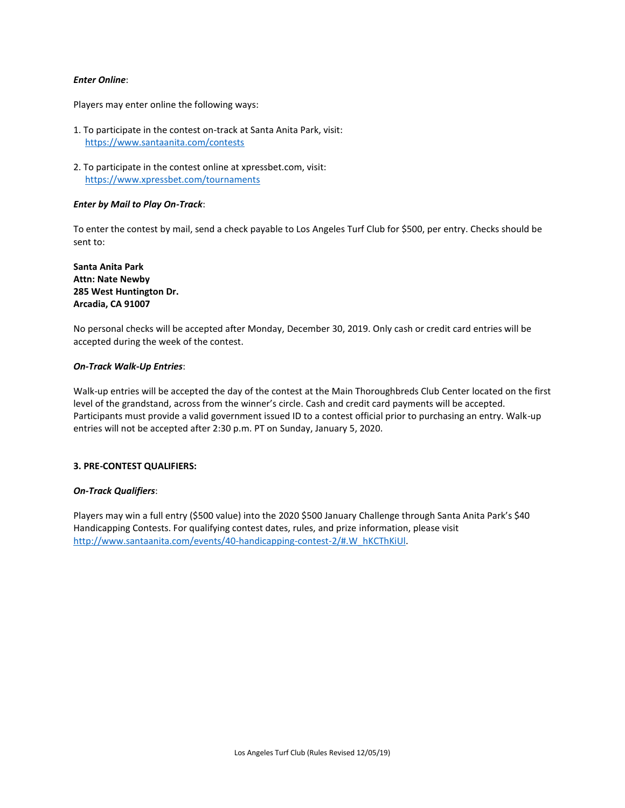#### *Enter Online*:

Players may enter online the following ways:

- 1. To participate in the contest on-track at Santa Anita Park, visit: <https://www.santaanita.com/contests>
- 2. To participate in the contest online at xpressbet.com, visit: <https://www.xpressbet.com/tournaments>

#### *Enter by Mail to Play On-Track*:

To enter the contest by mail, send a check payable to Los Angeles Turf Club for \$500, per entry. Checks should be sent to:

**Santa Anita Park Attn: Nate Newby 285 West Huntington Dr. Arcadia, CA 91007** 

No personal checks will be accepted after Monday, December 30, 2019. Only cash or credit card entries will be accepted during the week of the contest.

#### *On-Track Walk-Up Entries*:

Walk-up entries will be accepted the day of the contest at the Main Thoroughbreds Club Center located on the first level of the grandstand, across from the winner's circle. Cash and credit card payments will be accepted. Participants must provide a valid government issued ID to a contest official prior to purchasing an entry. Walk-up entries will not be accepted after 2:30 p.m. PT on Sunday, January 5, 2020.

#### **3. PRE-CONTEST QUALIFIERS:**

#### *On-Track Qualifiers*:

Players may win a full entry (\$500 value) into the 2020 \$500 January Challenge through Santa Anita Park's \$40 Handicapping Contests. For qualifying contest dates, rules, and prize information, please visit [http://www.santaanita.com/events/40-handicapping-contest-2/#.W\\_hKCThKiUl.](http://www.santaanita.com/events/40-handicapping-contest-2/#.W_hKCThKiUl)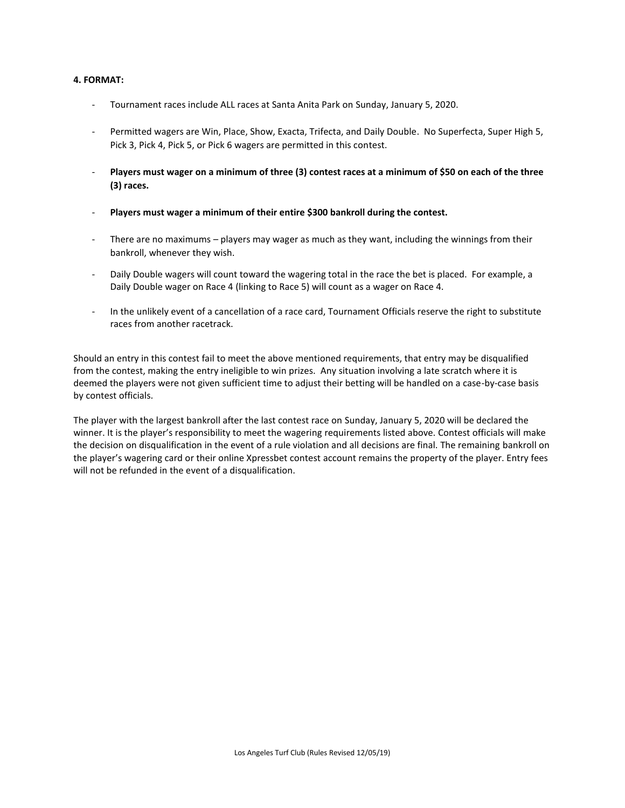## **4. FORMAT:**

- Tournament races include ALL races at Santa Anita Park on Sunday, January 5, 2020.
- Permitted wagers are Win, Place, Show, Exacta, Trifecta, and Daily Double. No Superfecta, Super High 5, Pick 3, Pick 4, Pick 5, or Pick 6 wagers are permitted in this contest.
- **Players must wager on a minimum of three (3) contest races at a minimum of \$50 on each of the three (3) races.**
- **Players must wager a minimum of their entire \$300 bankroll during the contest.**
- There are no maximums players may wager as much as they want, including the winnings from their bankroll, whenever they wish.
- Daily Double wagers will count toward the wagering total in the race the bet is placed. For example, a Daily Double wager on Race 4 (linking to Race 5) will count as a wager on Race 4.
- In the unlikely event of a cancellation of a race card, Tournament Officials reserve the right to substitute races from another racetrack.

Should an entry in this contest fail to meet the above mentioned requirements, that entry may be disqualified from the contest, making the entry ineligible to win prizes. Any situation involving a late scratch where it is deemed the players were not given sufficient time to adjust their betting will be handled on a case-by-case basis by contest officials.

The player with the largest bankroll after the last contest race on Sunday, January 5, 2020 will be declared the winner. It is the player's responsibility to meet the wagering requirements listed above. Contest officials will make the decision on disqualification in the event of a rule violation and all decisions are final. The remaining bankroll on the player's wagering card or their online Xpressbet contest account remains the property of the player. Entry fees will not be refunded in the event of a disqualification.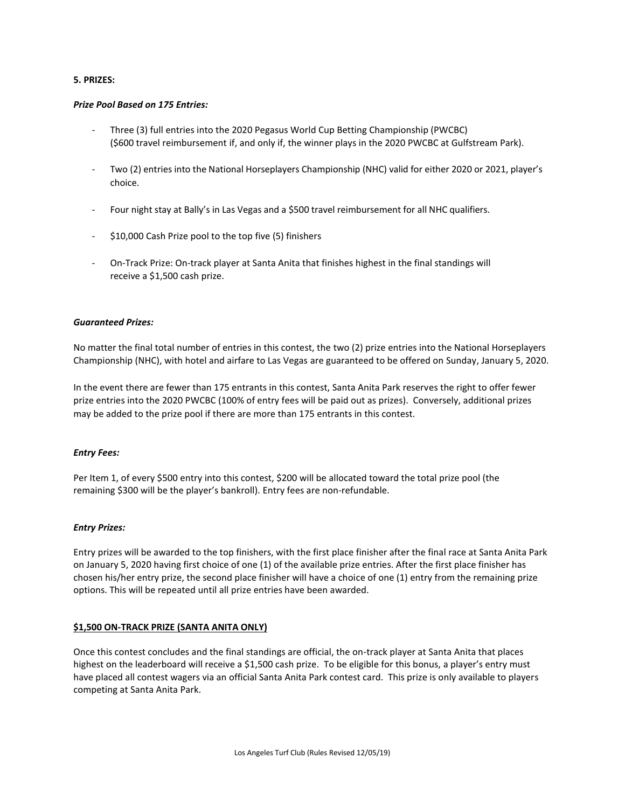### **5. PRIZES:**

### *Prize Pool Based on 175 Entries:*

- Three (3) full entries into the 2020 Pegasus World Cup Betting Championship (PWCBC) (\$600 travel reimbursement if, and only if, the winner plays in the 2020 PWCBC at Gulfstream Park).
- Two (2) entries into the National Horseplayers Championship (NHC) valid for either 2020 or 2021, player's choice.
- Four night stay at Bally's in Las Vegas and a \$500 travel reimbursement for all NHC qualifiers.
- \$10,000 Cash Prize pool to the top five (5) finishers
- On-Track Prize: On-track player at Santa Anita that finishes highest in the final standings will receive a \$1,500 cash prize.

## *Guaranteed Prizes:*

No matter the final total number of entries in this contest, the two (2) prize entries into the National Horseplayers Championship (NHC), with hotel and airfare to Las Vegas are guaranteed to be offered on Sunday, January 5, 2020.

In the event there are fewer than 175 entrants in this contest, Santa Anita Park reserves the right to offer fewer prize entries into the 2020 PWCBC (100% of entry fees will be paid out as prizes). Conversely, additional prizes may be added to the prize pool if there are more than 175 entrants in this contest.

#### *Entry Fees:*

Per Item 1, of every \$500 entry into this contest, \$200 will be allocated toward the total prize pool (the remaining \$300 will be the player's bankroll). Entry fees are non-refundable.

# *Entry Prizes:*

Entry prizes will be awarded to the top finishers, with the first place finisher after the final race at Santa Anita Park on January 5, 2020 having first choice of one (1) of the available prize entries. After the first place finisher has chosen his/her entry prize, the second place finisher will have a choice of one (1) entry from the remaining prize options. This will be repeated until all prize entries have been awarded.

# **\$1,500 ON-TRACK PRIZE (SANTA ANITA ONLY)**

Once this contest concludes and the final standings are official, the on-track player at Santa Anita that places highest on the leaderboard will receive a \$1,500 cash prize. To be eligible for this bonus, a player's entry must have placed all contest wagers via an official Santa Anita Park contest card. This prize is only available to players competing at Santa Anita Park.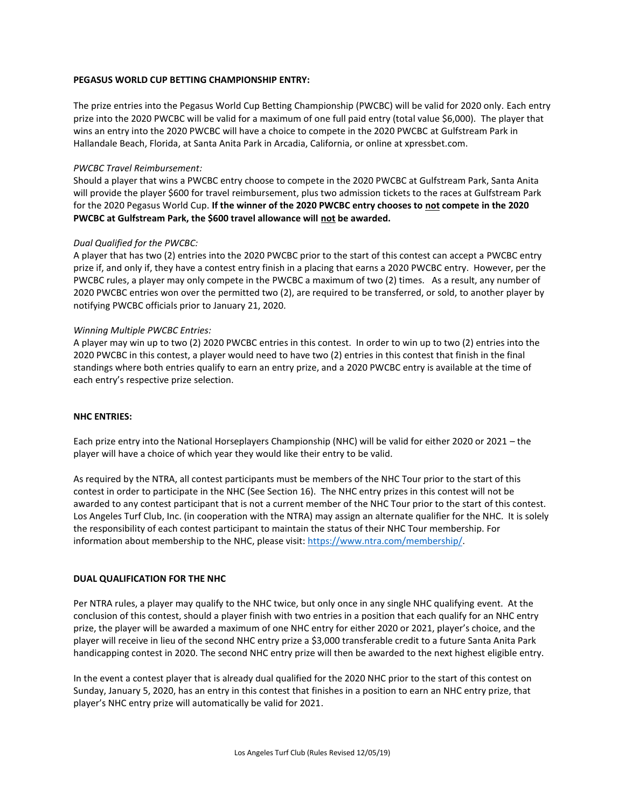## **PEGASUS WORLD CUP BETTING CHAMPIONSHIP ENTRY:**

The prize entries into the Pegasus World Cup Betting Championship (PWCBC) will be valid for 2020 only. Each entry prize into the 2020 PWCBC will be valid for a maximum of one full paid entry (total value \$6,000). The player that wins an entry into the 2020 PWCBC will have a choice to compete in the 2020 PWCBC at Gulfstream Park in Hallandale Beach, Florida, at Santa Anita Park in Arcadia, California, or online at xpressbet.com.

## *PWCBC Travel Reimbursement:*

Should a player that wins a PWCBC entry choose to compete in the 2020 PWCBC at Gulfstream Park, Santa Anita will provide the player \$600 for travel reimbursement, plus two admission tickets to the races at Gulfstream Park for the 2020 Pegasus World Cup. **If the winner of the 2020 PWCBC entry chooses to not compete in the 2020 PWCBC at Gulfstream Park, the \$600 travel allowance will not be awarded.**

## *Dual Qualified for the PWCBC:*

A player that has two (2) entries into the 2020 PWCBC prior to the start of this contest can accept a PWCBC entry prize if, and only if, they have a contest entry finish in a placing that earns a 2020 PWCBC entry. However, per the PWCBC rules, a player may only compete in the PWCBC a maximum of two (2) times. As a result, any number of 2020 PWCBC entries won over the permitted two (2), are required to be transferred, or sold, to another player by notifying PWCBC officials prior to January 21, 2020.

### *Winning Multiple PWCBC Entries:*

A player may win up to two (2) 2020 PWCBC entries in this contest. In order to win up to two (2) entries into the 2020 PWCBC in this contest, a player would need to have two (2) entries in this contest that finish in the final standings where both entries qualify to earn an entry prize, and a 2020 PWCBC entry is available at the time of each entry's respective prize selection.

#### **NHC ENTRIES:**

Each prize entry into the National Horseplayers Championship (NHC) will be valid for either 2020 or 2021 – the player will have a choice of which year they would like their entry to be valid.

As required by the NTRA, all contest participants must be members of the NHC Tour prior to the start of this contest in order to participate in the NHC (See Section 16). The NHC entry prizes in this contest will not be awarded to any contest participant that is not a current member of the NHC Tour prior to the start of this contest. Los Angeles Turf Club, Inc. (in cooperation with the NTRA) may assign an alternate qualifier for the NHC. It is solely the responsibility of each contest participant to maintain the status of their NHC Tour membership. For information about membership to the NHC, please visit[: https://www.ntra.com/membership/.](https://www.ntra.com/membership/)

#### **DUAL QUALIFICATION FOR THE NHC**

Per NTRA rules, a player may qualify to the NHC twice, but only once in any single NHC qualifying event. At the conclusion of this contest, should a player finish with two entries in a position that each qualify for an NHC entry prize, the player will be awarded a maximum of one NHC entry for either 2020 or 2021, player's choice, and the player will receive in lieu of the second NHC entry prize a \$3,000 transferable credit to a future Santa Anita Park handicapping contest in 2020. The second NHC entry prize will then be awarded to the next highest eligible entry.

In the event a contest player that is already dual qualified for the 2020 NHC prior to the start of this contest on Sunday, January 5, 2020, has an entry in this contest that finishes in a position to earn an NHC entry prize, that player's NHC entry prize will automatically be valid for 2021.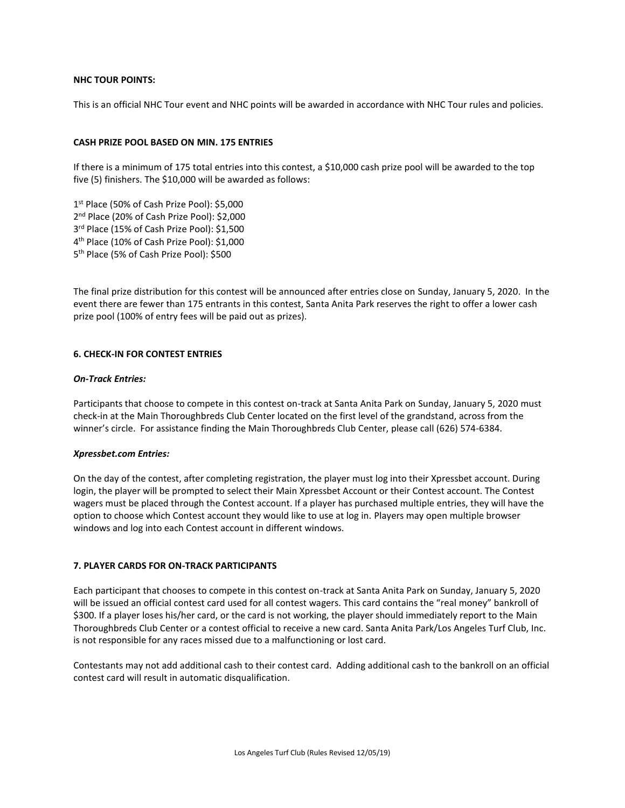### **NHC TOUR POINTS:**

This is an official NHC Tour event and NHC points will be awarded in accordance with NHC Tour rules and policies.

### **CASH PRIZE POOL BASED ON MIN. 175 ENTRIES**

If there is a minimum of 175 total entries into this contest, a \$10,000 cash prize pool will be awarded to the top five (5) finishers. The \$10,000 will be awarded as follows:

 st Place (50% of Cash Prize Pool): \$5,000 nd Place (20% of Cash Prize Pool): \$2,000 rd Place (15% of Cash Prize Pool): \$1,500 th Place (10% of Cash Prize Pool): \$1,000 th Place (5% of Cash Prize Pool): \$500

The final prize distribution for this contest will be announced after entries close on Sunday, January 5, 2020. In the event there are fewer than 175 entrants in this contest, Santa Anita Park reserves the right to offer a lower cash prize pool (100% of entry fees will be paid out as prizes).

## **6. CHECK-IN FOR CONTEST ENTRIES**

#### *On-Track Entries:*

Participants that choose to compete in this contest on-track at Santa Anita Park on Sunday, January 5, 2020 must check-in at the Main Thoroughbreds Club Center located on the first level of the grandstand, across from the winner's circle. For assistance finding the Main Thoroughbreds Club Center, please call (626) 574-6384.

#### *Xpressbet.com Entries:*

On the day of the contest, after completing registration, the player must log into their Xpressbet account. During login, the player will be prompted to select their Main Xpressbet Account or their Contest account. The Contest wagers must be placed through the Contest account. If a player has purchased multiple entries, they will have the option to choose which Contest account they would like to use at log in. Players may open multiple browser windows and log into each Contest account in different windows.

### **7. PLAYER CARDS FOR ON-TRACK PARTICIPANTS**

Each participant that chooses to compete in this contest on-track at Santa Anita Park on Sunday, January 5, 2020 will be issued an official contest card used for all contest wagers. This card contains the "real money" bankroll of \$300. If a player loses his/her card, or the card is not working, the player should immediately report to the Main Thoroughbreds Club Center or a contest official to receive a new card. Santa Anita Park/Los Angeles Turf Club, Inc. is not responsible for any races missed due to a malfunctioning or lost card.

Contestants may not add additional cash to their contest card. Adding additional cash to the bankroll on an official contest card will result in automatic disqualification.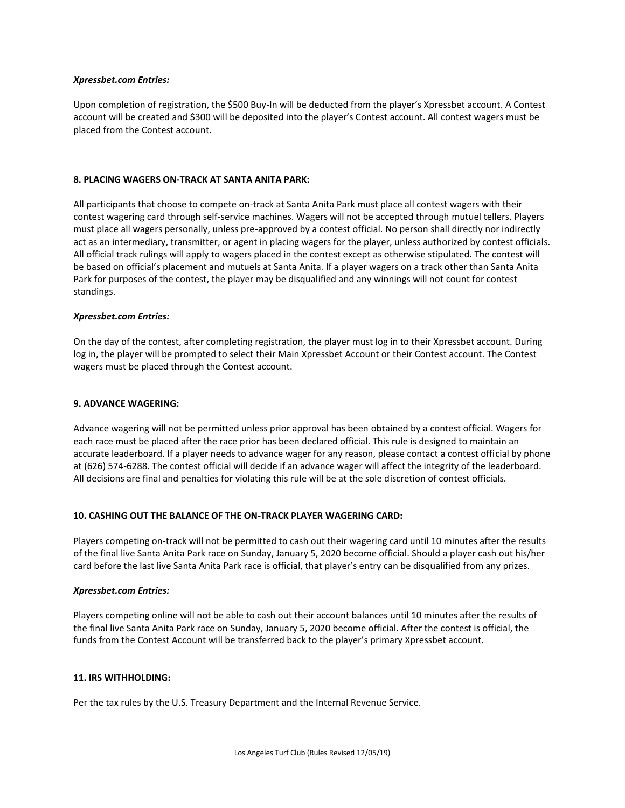#### *Xpressbet.com Entries:*

Upon completion of registration, the \$500 Buy-In will be deducted from the player's Xpressbet account. A Contest account will be created and \$300 will be deposited into the player's Contest account. All contest wagers must be placed from the Contest account.

#### **8. PLACING WAGERS ON-TRACK AT SANTA ANITA PARK:**

All participants that choose to compete on-track at Santa Anita Park must place all contest wagers with their contest wagering card through self-service machines. Wagers will not be accepted through mutuel tellers. Players must place all wagers personally, unless pre-approved by a contest official. No person shall directly nor indirectly act as an intermediary, transmitter, or agent in placing wagers for the player, unless authorized by contest officials. All official track rulings will apply to wagers placed in the contest except as otherwise stipulated. The contest will be based on official's placement and mutuels at Santa Anita. If a player wagers on a track other than Santa Anita Park for purposes of the contest, the player may be disqualified and any winnings will not count for contest standings.

#### *Xpressbet.com Entries:*

On the day of the contest, after completing registration, the player must log in to their Xpressbet account. During log in, the player will be prompted to select their Main Xpressbet Account or their Contest account. The Contest wagers must be placed through the Contest account.

#### **9. ADVANCE WAGERING:**

Advance wagering will not be permitted unless prior approval has been obtained by a contest official. Wagers for each race must be placed after the race prior has been declared official. This rule is designed to maintain an accurate leaderboard. If a player needs to advance wager for any reason, please contact a contest official by phone at (626) 574-6288. The contest official will decide if an advance wager will affect the integrity of the leaderboard. All decisions are final and penalties for violating this rule will be at the sole discretion of contest officials.

### **10. CASHING OUT THE BALANCE OF THE ON-TRACK PLAYER WAGERING CARD:**

Players competing on-track will not be permitted to cash out their wagering card until 10 minutes after the results of the final live Santa Anita Park race on Sunday, January 5, 2020 become official. Should a player cash out his/her card before the last live Santa Anita Park race is official, that player's entry can be disqualified from any prizes.

#### *Xpressbet.com Entries:*

Players competing online will not be able to cash out their account balances until 10 minutes after the results of the final live Santa Anita Park race on Sunday, January 5, 2020 become official. After the contest is official, the funds from the Contest Account will be transferred back to the player's primary Xpressbet account.

#### **11. IRS WITHHOLDING:**

Per the tax rules by the U.S. Treasury Department and the Internal Revenue Service.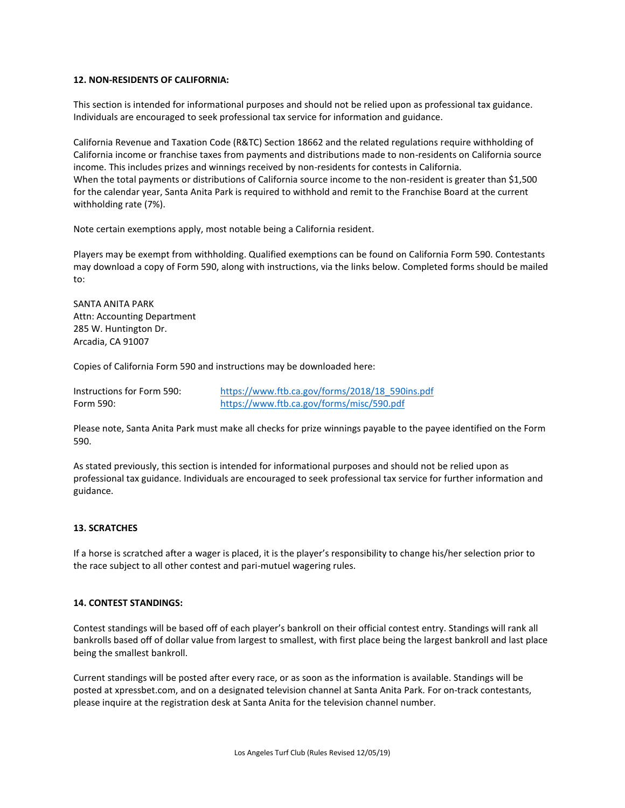## **12. NON-RESIDENTS OF CALIFORNIA:**

This section is intended for informational purposes and should not be relied upon as professional tax guidance. Individuals are encouraged to seek professional tax service for information and guidance.

California Revenue and Taxation Code (R&TC) Section 18662 and the related regulations require withholding of California income or franchise taxes from payments and distributions made to non-residents on California source income. This includes prizes and winnings received by non-residents for contests in California. When the total payments or distributions of California source income to the non-resident is greater than \$1,500 for the calendar year, Santa Anita Park is required to withhold and remit to the Franchise Board at the current withholding rate (7%).

Note certain exemptions apply, most notable being a California resident.

Players may be exempt from withholding. Qualified exemptions can be found on California Form 590. Contestants may download a copy of Form 590, along with instructions, via the links below. Completed forms should be mailed to:

SANTA ANITA PARK Attn: Accounting Department 285 W. Huntington Dr. Arcadia, CA 91007

Copies of California Form 590 and instructions may be downloaded here:

| Instructions for Form 590: | https://www.ftb.ca.gov/forms/2018/18 590ins.pdf |
|----------------------------|-------------------------------------------------|
| Form 590:                  | https://www.ftb.ca.gov/forms/misc/590.pdf       |

Please note, Santa Anita Park must make all checks for prize winnings payable to the payee identified on the Form 590.

As stated previously, this section is intended for informational purposes and should not be relied upon as professional tax guidance. Individuals are encouraged to seek professional tax service for further information and guidance.

#### **13. SCRATCHES**

If a horse is scratched after a wager is placed, it is the player's responsibility to change his/her selection prior to the race subject to all other contest and pari-mutuel wagering rules.

#### **14. CONTEST STANDINGS:**

Contest standings will be based off of each player's bankroll on their official contest entry. Standings will rank all bankrolls based off of dollar value from largest to smallest, with first place being the largest bankroll and last place being the smallest bankroll.

Current standings will be posted after every race, or as soon as the information is available. Standings will be posted at xpressbet.com, and on a designated television channel at Santa Anita Park. For on-track contestants, please inquire at the registration desk at Santa Anita for the television channel number.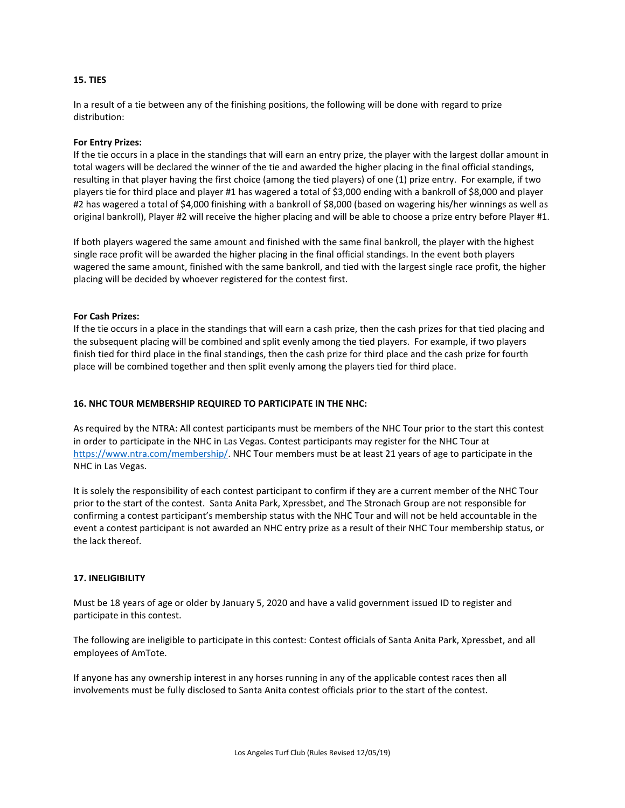### **15. TIES**

In a result of a tie between any of the finishing positions, the following will be done with regard to prize distribution:

#### **For Entry Prizes:**

If the tie occurs in a place in the standings that will earn an entry prize, the player with the largest dollar amount in total wagers will be declared the winner of the tie and awarded the higher placing in the final official standings, resulting in that player having the first choice (among the tied players) of one (1) prize entry. For example, if two players tie for third place and player #1 has wagered a total of \$3,000 ending with a bankroll of \$8,000 and player #2 has wagered a total of \$4,000 finishing with a bankroll of \$8,000 (based on wagering his/her winnings as well as original bankroll), Player #2 will receive the higher placing and will be able to choose a prize entry before Player #1.

If both players wagered the same amount and finished with the same final bankroll, the player with the highest single race profit will be awarded the higher placing in the final official standings. In the event both players wagered the same amount, finished with the same bankroll, and tied with the largest single race profit, the higher placing will be decided by whoever registered for the contest first.

## **For Cash Prizes:**

If the tie occurs in a place in the standings that will earn a cash prize, then the cash prizes for that tied placing and the subsequent placing will be combined and split evenly among the tied players. For example, if two players finish tied for third place in the final standings, then the cash prize for third place and the cash prize for fourth place will be combined together and then split evenly among the players tied for third place.

## **16. NHC TOUR MEMBERSHIP REQUIRED TO PARTICIPATE IN THE NHC:**

As required by the NTRA: All contest participants must be members of the NHC Tour prior to the start this contest in order to participate in the NHC in Las Vegas. Contest participants may register for the NHC Tour at [https://www.ntra.com/membership/.](https://www.ntra.com/membership/) NHC Tour members must be at least 21 years of age to participate in the NHC in Las Vegas.

It is solely the responsibility of each contest participant to confirm if they are a current member of the NHC Tour prior to the start of the contest. Santa Anita Park, Xpressbet, and The Stronach Group are not responsible for confirming a contest participant's membership status with the NHC Tour and will not be held accountable in the event a contest participant is not awarded an NHC entry prize as a result of their NHC Tour membership status, or the lack thereof.

# **17. INELIGIBILITY**

Must be 18 years of age or older by January 5, 2020 and have a valid government issued ID to register and participate in this contest.

The following are ineligible to participate in this contest: Contest officials of Santa Anita Park, Xpressbet, and all employees of AmTote.

If anyone has any ownership interest in any horses running in any of the applicable contest races then all involvements must be fully disclosed to Santa Anita contest officials prior to the start of the contest.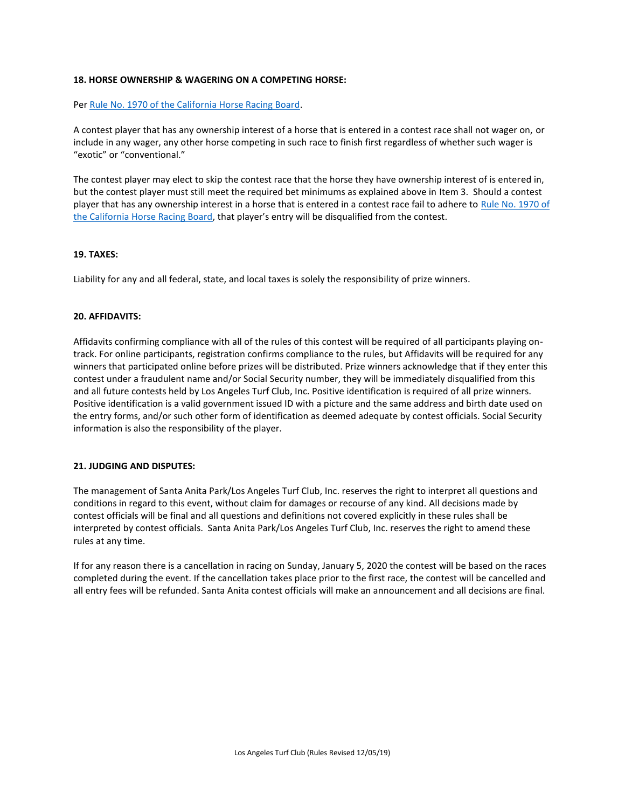# **18. HORSE OWNERSHIP & WAGERING ON A COMPETING HORSE:**

#### Per [Rule No. 1970 of the California Horse Racing Board.](http://www.chrb.ca.gov/query_rules_and_regulations_database.asp?form_query_action=display_rule&form_query_rule_number=1970&form_query_rule_title=Wagering+on+Competing+Horse%2E&form_query_article=Wagering+on+Competing+Horse%2E&form_query_article_index=20&form_query_argument=1970)

A contest player that has any ownership interest of a horse that is entered in a contest race shall not wager on, or include in any wager, any other horse competing in such race to finish first regardless of whether such wager is "exotic" or "conventional."

The contest player may elect to skip the contest race that the horse they have ownership interest of is entered in, but the contest player must still meet the required bet minimums as explained above in Item 3. Should a contest player that has any ownership interest in a horse that is entered in a contest race fail to adhere to [Rule No. 1970 of](http://www.chrb.ca.gov/query_rules_and_regulations_database.asp?form_query_action=display_rule&form_query_rule_number=1970&form_query_rule_title=Wagering+on+Competing+Horse%2E&form_query_article=Wagering+on+Competing+Horse%2E&form_query_article_index=20&form_query_argument=1970)  [the California Horse Racing Board](http://www.chrb.ca.gov/query_rules_and_regulations_database.asp?form_query_action=display_rule&form_query_rule_number=1970&form_query_rule_title=Wagering+on+Competing+Horse%2E&form_query_article=Wagering+on+Competing+Horse%2E&form_query_article_index=20&form_query_argument=1970), that player's entry will be disqualified from the contest.

### **19. TAXES:**

Liability for any and all federal, state, and local taxes is solely the responsibility of prize winners.

### **20. AFFIDAVITS:**

Affidavits confirming compliance with all of the rules of this contest will be required of all participants playing ontrack. For online participants, registration confirms compliance to the rules, but Affidavits will be required for any winners that participated online before prizes will be distributed. Prize winners acknowledge that if they enter this contest under a fraudulent name and/or Social Security number, they will be immediately disqualified from this and all future contests held by Los Angeles Turf Club, Inc. Positive identification is required of all prize winners. Positive identification is a valid government issued ID with a picture and the same address and birth date used on the entry forms, and/or such other form of identification as deemed adequate by contest officials. Social Security information is also the responsibility of the player.

#### **21. JUDGING AND DISPUTES:**

The management of Santa Anita Park/Los Angeles Turf Club, Inc. reserves the right to interpret all questions and conditions in regard to this event, without claim for damages or recourse of any kind. All decisions made by contest officials will be final and all questions and definitions not covered explicitly in these rules shall be interpreted by contest officials. Santa Anita Park/Los Angeles Turf Club, Inc. reserves the right to amend these rules at any time.

If for any reason there is a cancellation in racing on Sunday, January 5, 2020 the contest will be based on the races completed during the event. If the cancellation takes place prior to the first race, the contest will be cancelled and all entry fees will be refunded. Santa Anita contest officials will make an announcement and all decisions are final.